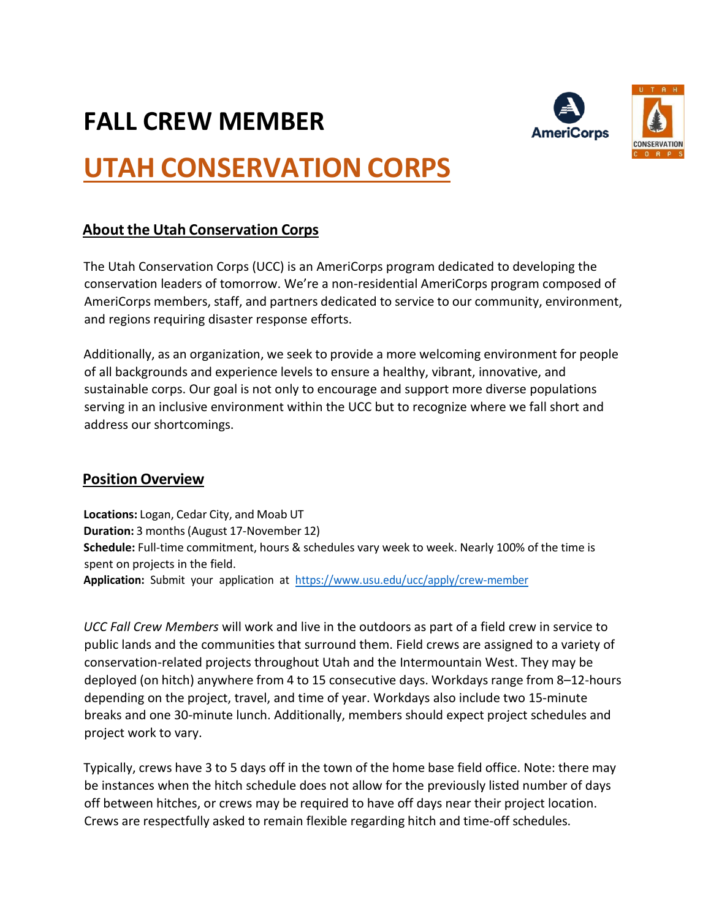## **FALL CREW MEMBER**





# **UTAH CONSERVATION CORPS**

## **About the Utah Conservation Corps**

The Utah Conservation Corps (UCC) is an AmeriCorps program dedicated to developing the conservation leaders of tomorrow. We're a non-residential AmeriCorps program composed of AmeriCorps members, staff, and partners dedicated to service to our community, environment, and regions requiring disaster response efforts.

Additionally, as an organization, we seek to provide a more welcoming environment for people of all backgrounds and experience levels to ensure a healthy, vibrant, innovative, and sustainable corps. Our goal is not only to encourage and support more diverse populations serving in an inclusive environment within the UCC but to recognize where we fall short and address our shortcomings.

## **Position Overview**

**Locations:** Logan, Cedar City, and Moab UT **Duration:** 3 months(August 17-November 12) **Schedule:** Full-time commitment, hours & schedules vary week to week. Nearly 100% of the time is spent on projects in the field. **Application:** Submit your application at <https://www.usu.edu/ucc/apply/crew-member>

*UCC Fall Crew Members* will work and live in the outdoors as part of a field crew in service to public lands and the communities that surround them. Field crews are assigned to a variety of conservation-related projects throughout Utah and the Intermountain West. They may be deployed (on hitch) anywhere from 4 to 15 consecutive days. Workdays range from 8–12-hours depending on the project, travel, and time of year. Workdays also include two 15-minute breaks and one 30-minute lunch. Additionally, members should expect project schedules and project work to vary.

Typically, crews have 3 to 5 days off in the town of the home base field office. Note: there may be instances when the hitch schedule does not allow for the previously listed number of days off between hitches, or crews may be required to have off days near their project location. Crews are respectfully asked to remain flexible regarding hitch and time-off schedules.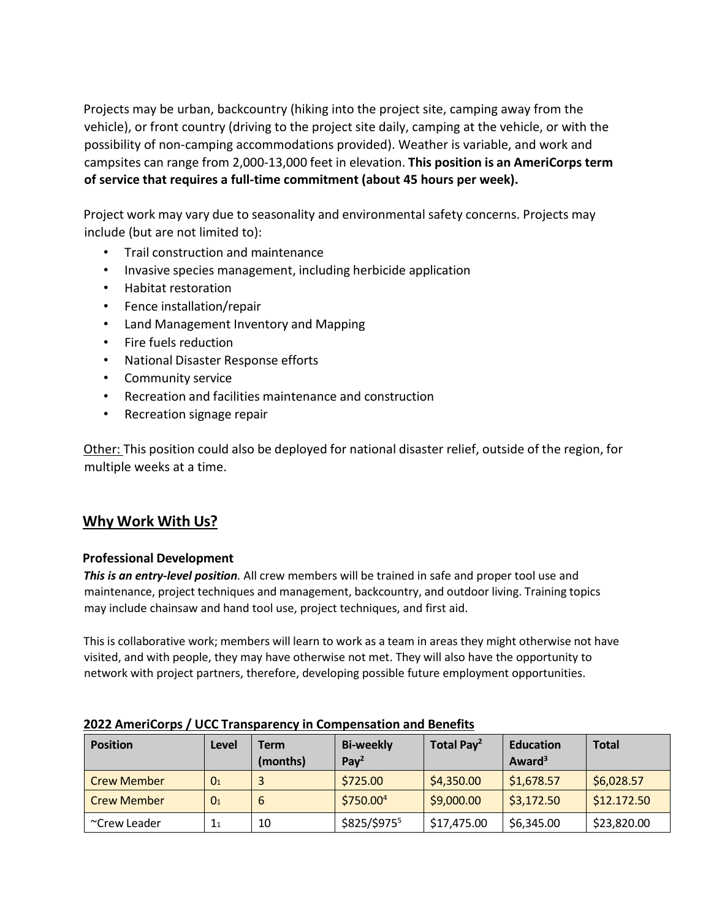Projects may be urban, backcountry (hiking into the project site, camping away from the vehicle), or front country (driving to the project site daily, camping at the vehicle, or with the possibility of non-camping accommodations provided). Weather is variable, and work and campsites can range from 2,000-13,000 feet in elevation. **This position is an AmeriCorps term of service that requires a full-time commitment (about 45 hours per week).**

Project work may vary due to seasonality and environmental safety concerns. Projects may include (but are not limited to):

- Trail construction and maintenance
- Invasive species management, including herbicide application
- Habitat restoration
- Fence installation/repair
- Land Management Inventory and Mapping
- Fire fuels reduction
- National Disaster Response efforts
- Community service
- Recreation and facilities maintenance and construction
- Recreation signage repair

Other: This position could also be deployed for national disaster relief, outside of the region, for multiple weeks at a time.

## **Why Work With Us?**

## **Professional Development**

*This is an entry-level position.* All crew members will be trained in safe and proper tool use and maintenance, project techniques and management, backcountry, and outdoor living. Training topics may include chainsaw and hand tool use, project techniques, and first aid.

This is collaborative work; members will learn to work as a team in areas they might otherwise not have visited, and with people, they may have otherwise not met. They will also have the opportunity to network with project partners, therefore, developing possible future employment opportunities.

| <b>Position</b>    | Level          | Term<br>(months) | <b>Bi-weekly</b><br>Pay <sup>2</sup> | Total Pay <sup>2</sup> | <b>Education</b><br>Award <sup>3</sup> | <b>Total</b> |
|--------------------|----------------|------------------|--------------------------------------|------------------------|----------------------------------------|--------------|
| <b>Crew Member</b> | 0 <sub>1</sub> |                  | \$725.00                             | \$4,350.00             | \$1,678.57                             | \$6,028.57   |
| <b>Crew Member</b> | 0 <sub>1</sub> | 6                | \$750.00 <sup>4</sup>                | \$9,000.00             | \$3,172.50                             | \$12.172.50  |
| ~Crew Leader       | 1 <sub>1</sub> | 10               | \$825/\$9755                         | \$17,475.00            | \$6,345.00                             | \$23,820.00  |

## **2022 AmeriCorps / UCC Transparency in Compensation and Benefits**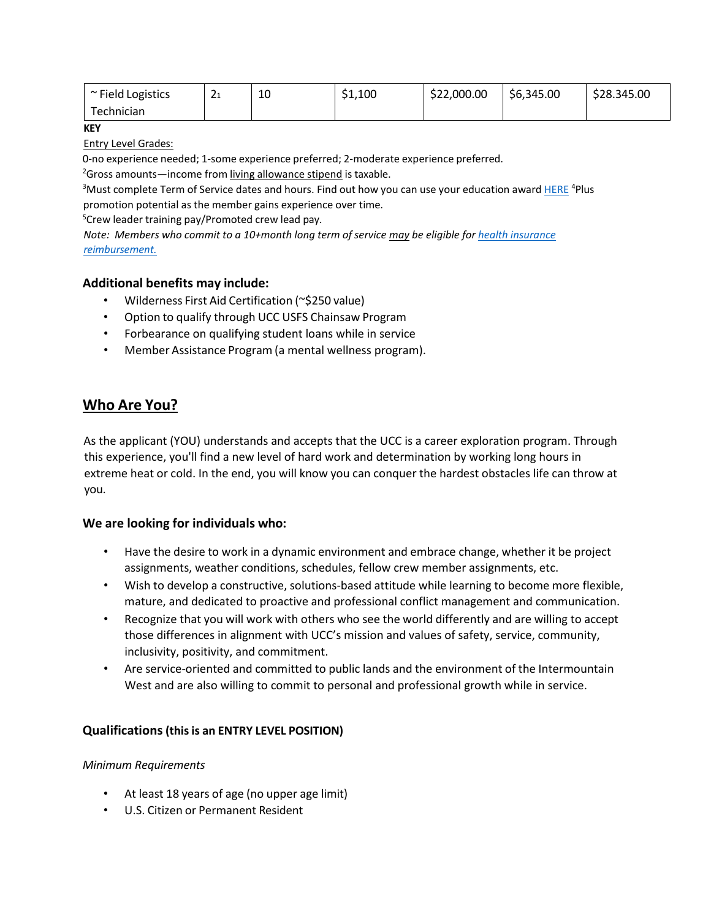| ~ Field Logistics | ∽<br>∸ | 10<br>τn | \$1,100 | \$22,000.00 | \$6,345.00 | \$28.345.00 |
|-------------------|--------|----------|---------|-------------|------------|-------------|
| Technician        |        |          |         |             |            |             |

**KEY**

Entry Level Grades:

0-no experience needed; 1-some experience preferred; 2-moderate experience preferred.

<sup>2</sup>Gross amounts—income from living allowance stipend is taxable.

<sup>3</sup>Must complete Term of Service dates and hours. Find out how you can use your education award **[HERE](https://americorps.gov/members-volunteers/segal-americorps-education-award)** <sup>4</sup>Plus promotion potential as the member gains experience over time.

<sup>5</sup>Crew leader training pay/Promoted crew lead pay.

*Note: Members who commit to a 10+month long term of service may be eligible f[or h](https://www.usu.edu/ucc/files/ucc_health_insurance_election_form2_feb2022.pdf)ealth [insurance](https://www.usu.edu/ucc/files/ucc_health_insurance_election_form2_feb2022.pdf) [reimbursement.](https://www.usu.edu/ucc/files/ucc_health_insurance_election_form2_feb2022.pdf)*

## **Additional benefits may include:**

- Wilderness First Aid Certification (~\$250 value)
- Option to qualify through UCC USFS Chainsaw Program
- Forbearance on qualifying student loans while in service
- Member Assistance Program (a mental wellness program).

## **Who Are You?**

As the applicant (YOU) understands and accepts that the UCC is a career exploration program. Through this experience, you'll find a new level of hard work and determination by working long hours in extreme heat or cold. In the end, you will know you can conquer the hardest obstacles life can throw at you.

## **We are looking for individuals who:**

- Have the desire to work in a dynamic environment and embrace change, whether it be project assignments, weather conditions, schedules, fellow crew member assignments, etc.
- Wish to develop a constructive, solutions-based attitude while learning to become more flexible, mature, and dedicated to proactive and professional conflict management and communication.
- Recognize that you will work with others who see the world differently and are willing to accept those differences in alignment with UCC's mission and values of safety, service, community, inclusivity, positivity, and commitment.
- Are service-oriented and committed to public lands and the environment of the Intermountain West and are also willing to commit to personal and professional growth while in service.

## **Qualifications(thisis an ENTRY LEVEL POSITION)**

#### *Minimum Requirements*

- At least 18 years of age (no upper age limit)
- U.S. Citizen or Permanent Resident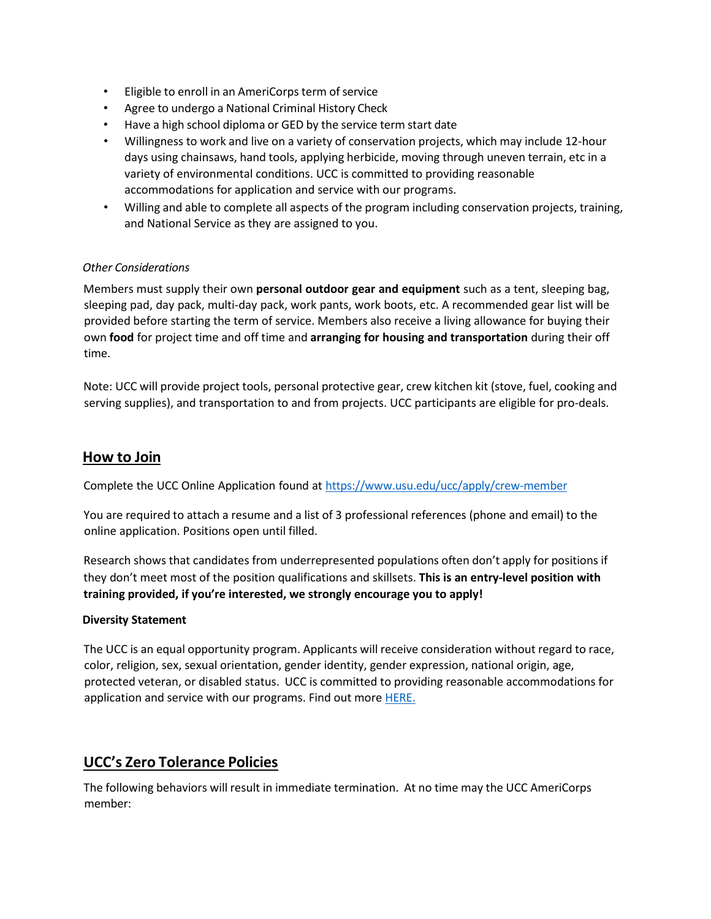- Eligible to enroll in an AmeriCorps term of service
- Agree to undergo a National Criminal History Check
- Have a high school diploma or GED by the service term start date
- Willingness to work and live on a variety of conservation projects, which may include 12-hour days using chainsaws, hand tools, applying herbicide, moving through uneven terrain, etc in a variety of environmental conditions. UCC is committed to providing reasonable accommodations for application and service with our programs.
- Willing and able to complete all aspects of the program including conservation projects, training, and National Service as they are assigned to you.

#### *Other Considerations*

Members must supply their own **personal outdoor gear and equipment** such as a tent, sleeping bag, sleeping pad, day pack, multi-day pack, work pants, work boots, etc. A recommended gear list will be provided before starting the term of service. Members also receive a living allowance for buying their own **food** for project time and off time and **arranging for housing and transportation** during their off time.

Note: UCC will provide project tools, personal protective gear, crew kitchen kit (stove, fuel, cooking and serving supplies), and transportation to and from projects. UCC participants are eligible for pro-deals.

## **How to Join**

Complete the UCC Online Application found at <https://www.usu.edu/ucc/apply/crew-member>

You are required to attach a resume and a list of 3 professional references (phone and email) to the online application. Positions open until filled.

Research shows that candidates from underrepresented populations often don't apply for positions if they don't meet most of the position qualifications and skillsets. **This is an entry-level position with training provided, if you're interested, we strongly encourage you to apply!**

#### **Diversity Statement**

The UCC is an equal opportunity program. Applicants will receive consideration without regard to race, color, religion, sex, sexual orientation, gender identity, gender expression, national origin, age, protected veteran, or disabled status. UCC is committed to providing reasonable accommodations for application and service with our programs. Find out mor[e HERE.](https://www.usu.edu/ucc/about/index)

## **UCC's Zero Tolerance Policies**

The following behaviors will result in immediate termination. At no time may the UCC AmeriCorps member: